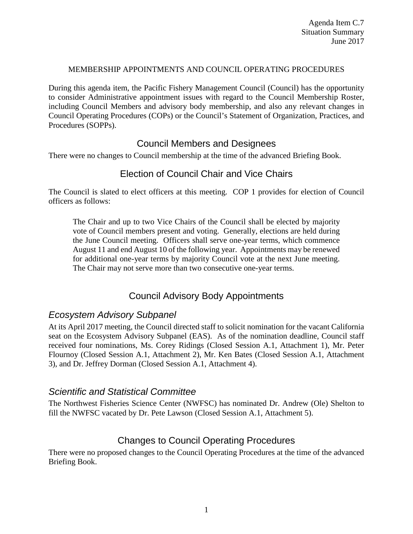### MEMBERSHIP APPOINTMENTS AND COUNCIL OPERATING PROCEDURES

During this agenda item, the Pacific Fishery Management Council (Council) has the opportunity to consider Administrative appointment issues with regard to the Council Membership Roster, including Council Members and advisory body membership, and also any relevant changes in Council Operating Procedures (COPs) or the Council's Statement of Organization, Practices, and Procedures (SOPPs).

# Council Members and Designees

There were no changes to Council membership at the time of the advanced Briefing Book.

# Election of Council Chair and Vice Chairs

The Council is slated to elect officers at this meeting. COP 1 provides for election of Council officers as follows:

The Chair and up to two Vice Chairs of the Council shall be elected by majority vote of Council members present and voting. Generally, elections are held during the June Council meeting. Officers shall serve one-year terms, which commence August 11 and end August 10 of the following year. Appointments may be renewed for additional one-year terms by majority Council vote at the next June meeting. The Chair may not serve more than two consecutive one-year terms.

# Council Advisory Body Appointments

# *Ecosystem Advisory Subpanel*

At its April 2017 meeting, the Council directed staff to solicit nomination for the vacant California seat on the Ecosystem Advisory Subpanel (EAS). As of the nomination deadline, Council staff received four nominations, Ms. Corey Ridings (Closed Session A.1, Attachment 1), Mr. Peter Flournoy (Closed Session A.1, Attachment 2), Mr. Ken Bates (Closed Session A.1, Attachment 3), and Dr. Jeffrey Dorman (Closed Session A.1, Attachment 4).

### *Scientific and Statistical Committee*

The Northwest Fisheries Science Center (NWFSC) has nominated Dr. Andrew (Ole) Shelton to fill the NWFSC vacated by Dr. Pete Lawson (Closed Session A.1, Attachment 5).

# Changes to Council Operating Procedures

There were no proposed changes to the Council Operating Procedures at the time of the advanced Briefing Book.